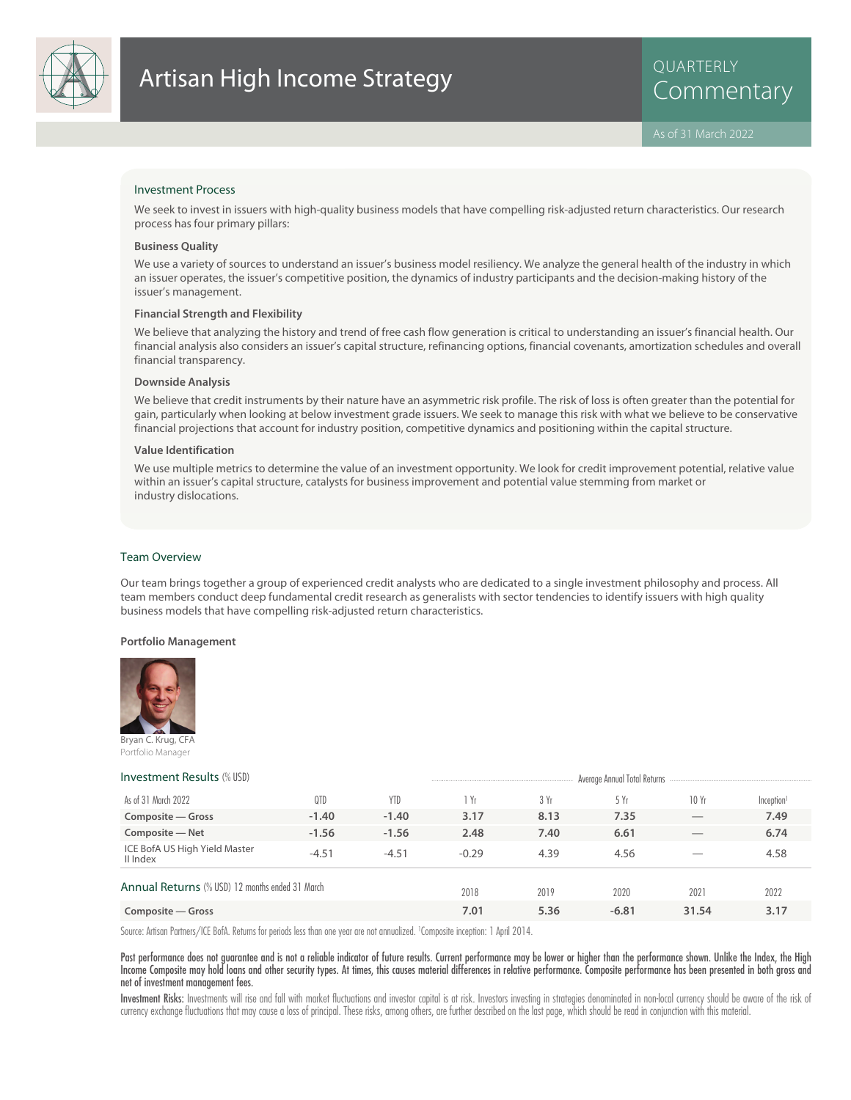

## Investment Process

We seek to invest in issuers with high-quality business models that have compelling risk-adjusted return characteristics. Our research process has four primary pillars:

### **Business Quality**

We use a variety of sources to understand an issuer's business model resiliency. We analyze the general health of the industry in which an issuer operates, the issuer's competitive position, the dynamics of industry participants and the decision-making history of the issuer's management.

### **Financial Strength and Flexibility**

We believe that analyzing the history and trend of free cash flow generation is critical to understanding an issuer's financial health. Our financial analysis also considers an issuer's capital structure, refinancing options, financial covenants, amortization schedules and overall financial transparency.

### **Downside Analysis**

We believe that credit instruments by their nature have an asymmetric risk profile. The risk of loss is often greater than the potential for gain, particularly when looking at below investment grade issuers. We seek to manage this risk with what we believe to be conservative financial projections that account for industry position, competitive dynamics and positioning within the capital structure.

### **Value Identification**

We use multiple metrics to determine the value of an investment opportunity. We look for credit improvement potential, relative value within an issuer's capital structure, catalysts for business improvement and potential value stemming from market or industry dislocations.

### Team Overview

Our team brings together a group of experienced credit analysts who are dedicated to a single investment philosophy and process. All team members conduct deep fundamental credit research as generalists with sector tendencies to identify issuers with high quality business models that have compelling risk-adjusted return characteristics.

### **Portfolio Management**



Portfolio Manager

# **Investment Results** (% USD) Average Annual Total Returns

| As of 31 March 2022                             | 0TD     | YTD     | Yr      | 3 Yr | 5Yr     | 10Yr                           | Inception <sup>1</sup> |  |
|-------------------------------------------------|---------|---------|---------|------|---------|--------------------------------|------------------------|--|
| Composite – Gross                               | $-1.40$ | $-1.40$ | 3.17    | 8.13 | 7.35    | $\overbrace{\hspace{25mm}}^{}$ | 7.49                   |  |
| Composite - Net                                 | $-1.56$ | $-1.56$ | 2.48    | 7.40 | 6.61    |                                | 6.74                   |  |
| ICE BofA US High Yield Master<br>II Index       | $-4.51$ | $-4.51$ | $-0.29$ | 4.39 | 4.56    |                                | 4.58                   |  |
| Annual Returns (% USD) 12 months ended 31 March |         |         | 2018    | 2019 | 2020    | 2021                           | 2022                   |  |
| Composite – Gross                               |         |         | 7.01    | 5.36 | $-6.81$ | 31.54                          | 3.17                   |  |

Source: Artisan Partners/ICE BofA. Returns for periods less than one year are not annualized. <sup>1</sup> Composite inception: 1 April 2014.

Past performance does not guarantee and is not a reliable indicator of future results. Current performance may be lower or higher than the performance shown. Unlike the Index, the High Income Composite may hold loans and other security types. At times, this causes material differences in relative performance. Composite performance has been presented in both gross and net of investment management fees.

Investment Risks: Investments will rise and fall with market fluctuations and investor capital is at risk. Investors investing in strategies denominated in non-local currency should be aware of the risk of currency exchange fluctuations that may cause a loss of principal. These risks, among others, are further described on the last page, which should be read in conjunction with this material.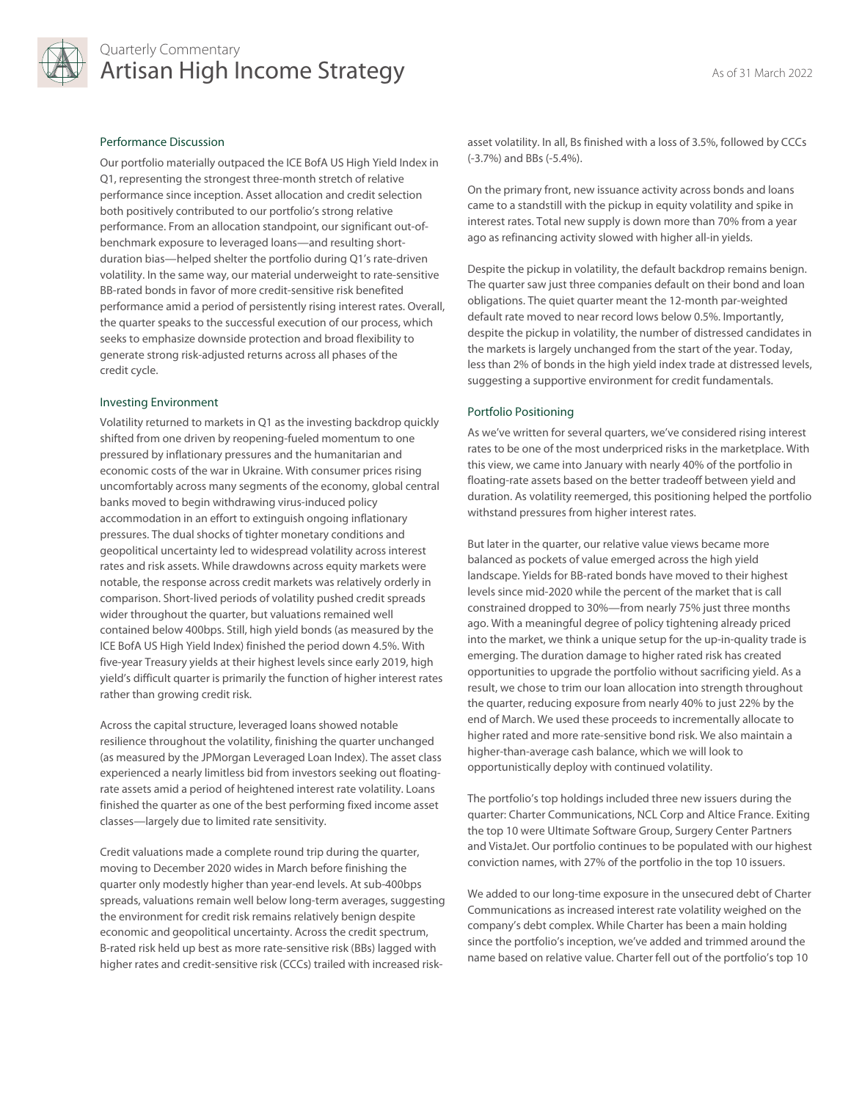

# Quarterly Commentary Artisan High Income Strategy As of 31 March 2022

# Performance Discussion

Our portfolio materially outpaced the ICE BofA US High Yield Index in Q1, representing the strongest three-month stretch of relative performance since inception. Asset allocation and credit selection both positively contributed to our portfolio's strong relative performance. From an allocation standpoint, our significant out-ofbenchmark exposure to leveraged loans—and resulting shortduration bias—helped shelter the portfolio during Q1's rate-driven volatility. In the same way, our material underweight to rate-sensitive BB-rated bonds in favor of more credit-sensitive risk benefited performance amid a period of persistently rising interest rates. Overall, the quarter speaks to the successful execution of our process, which seeks to emphasize downside protection and broad flexibility to generate strong risk-adjusted returns across all phases of the credit cycle.

### Investing Environment

Volatility returned to markets in Q1 as the investing backdrop quickly shifted from one driven by reopening-fueled momentum to one pressured by inflationary pressures and the humanitarian and economic costs of the war in Ukraine. With consumer prices rising uncomfortably across many segments of the economy, global central banks moved to begin withdrawing virus-induced policy accommodation in an effort to extinguish ongoing inflationary pressures. The dual shocks of tighter monetary conditions and geopolitical uncertainty led to widespread volatility across interest rates and risk assets. While drawdowns across equity markets were notable, the response across credit markets was relatively orderly in comparison. Short-lived periods of volatility pushed credit spreads wider throughout the quarter, but valuations remained well contained below 400bps. Still, high yield bonds (as measured by the ICE BofA US High Yield Index) finished the period down 4.5%. With five-year Treasury yields at their highest levels since early 2019, high yield's difficult quarter is primarily the function of higher interest rates rather than growing credit risk.

Across the capital structure, leveraged loans showed notable resilience throughout the volatility, finishing the quarter unchanged (as measured by the JPMorgan Leveraged Loan Index). The asset class experienced a nearly limitless bid from investors seeking out floatingrate assets amid a period of heightened interest rate volatility. Loans finished the quarter as one of the best performing fixed income asset classes—largely due to limited rate sensitivity.

Credit valuations made a complete round trip during the quarter, moving to December 2020 wides in March before finishing the quarter only modestly higher than year-end levels. At sub-400bps spreads, valuations remain well below long-term averages, suggesting the environment for credit risk remains relatively benign despite economic and geopolitical uncertainty. Across the credit spectrum, B-rated risk held up best as more rate-sensitive risk (BBs) lagged with higher rates and credit-sensitive risk (CCCs) trailed with increased riskasset volatility. In all, Bs finished with a loss of 3.5%, followed by CCCs (-3.7%) and BBs (-5.4%).

On the primary front, new issuance activity across bonds and loans came to a standstill with the pickup in equity volatility and spike in interest rates. Total new supply is down more than 70% from a year ago as refinancing activity slowed with higher all-in yields.

Despite the pickup in volatility, the default backdrop remains benign. The quarter saw just three companies default on their bond and loan obligations. The quiet quarter meant the 12-month par-weighted default rate moved to near record lows below 0.5%. Importantly, despite the pickup in volatility, the number of distressed candidates in the markets is largely unchanged from the start of the year. Today, less than 2% of bonds in the high yield index trade at distressed levels, suggesting a supportive environment for credit fundamentals.

# Portfolio Positioning

As we've written for several quarters, we've considered rising interest rates to be one of the most underpriced risks in the marketplace. With this view, we came into January with nearly 40% of the portfolio in floating-rate assets based on the better tradeoff between yield and duration. As volatility reemerged, this positioning helped the portfolio withstand pressures from higher interest rates.

But later in the quarter, our relative value views became more balanced as pockets of value emerged across the high yield landscape. Yields for BB-rated bonds have moved to their highest levels since mid-2020 while the percent of the market that is call constrained dropped to 30%—from nearly 75% just three months ago. With a meaningful degree of policy tightening already priced into the market, we think a unique setup for the up-in-quality trade is emerging. The duration damage to higher rated risk has created opportunities to upgrade the portfolio without sacrificing yield. As a result, we chose to trim our loan allocation into strength throughout the quarter, reducing exposure from nearly 40% to just 22% by the end of March. We used these proceeds to incrementally allocate to higher rated and more rate-sensitive bond risk. We also maintain a higher-than-average cash balance, which we will look to opportunistically deploy with continued volatility.

The portfolio's top holdings included three new issuers during the quarter: Charter Communications, NCL Corp and Altice France. Exiting the top 10 were Ultimate Software Group, Surgery Center Partners and VistaJet. Our portfolio continues to be populated with our highest conviction names, with 27% of the portfolio in the top 10 issuers.

We added to our long-time exposure in the unsecured debt of Charter Communications as increased interest rate volatility weighed on the company's debt complex. While Charter has been a main holding since the portfolio's inception, we've added and trimmed around the name based on relative value. Charter fell out of the portfolio's top 10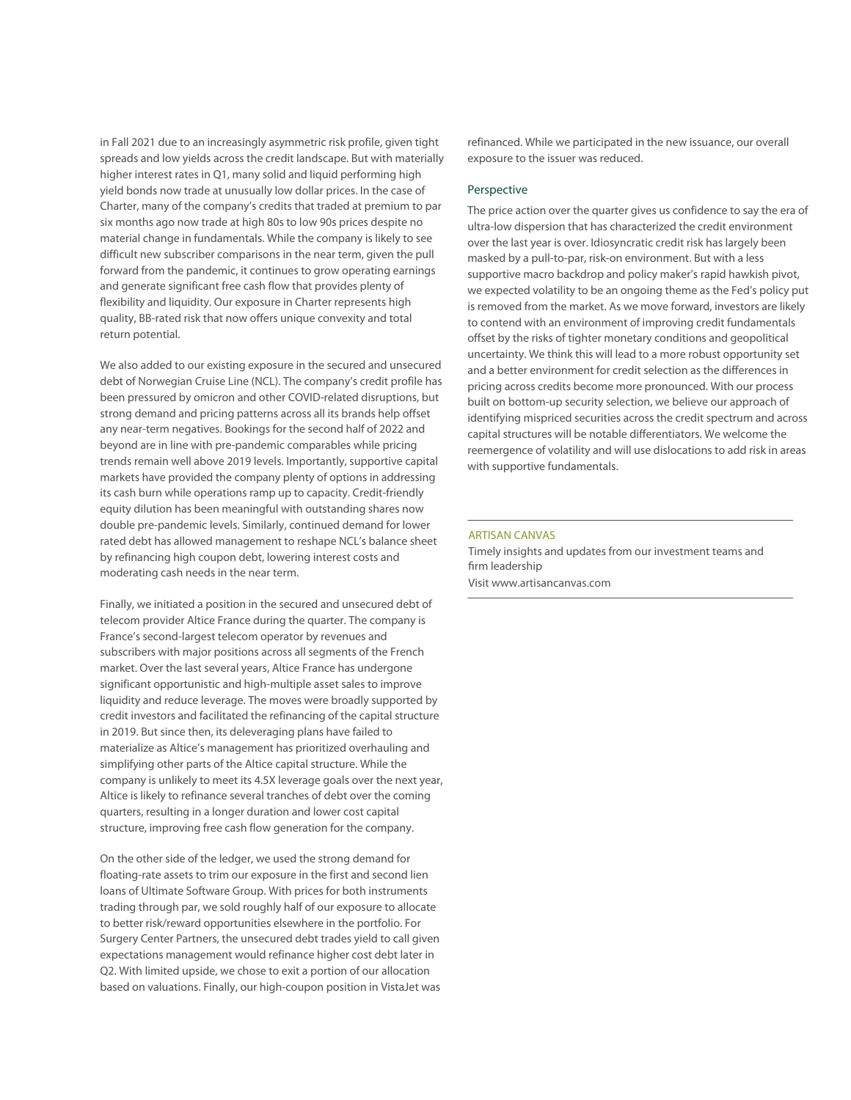in Fall 2021 due to an increasingly asymmetric risk profile, given tight spreads and low yields across the credit landscape. But with materially higher interest rates in Q1, many solid and liquid performing high yield bonds now trade at unusually low dollar prices. In the case of Charter, many of the company's credits that traded at premium to par six months ago now trade at high 80s to low 90s prices despite no material change in fundamentals. While the company is likely to see difficult new subscriber comparisons in the near term, given the pull forward from the pandemic, it continues to grow operating earnings and generate significant free cash flow that provides plenty of flexibility and liquidity. Our exposure in Charter represents high quality, BB-rated risk that now offers unique convexity and total return potential.

We also added to our existing exposure in the secured and unsecured debt of Norwegian Cruise Line (NCL). The company's credit profile has been pressured by omicron and other COVID-related disruptions, but strong demand and pricing patterns across all its brands help offset any near-term negatives. Bookings for the second half of 2022 and beyond are in line with pre-pandemic comparables while pricing trends remain well above 2019 levels. Importantly, supportive capital markets have provided the company plenty of options in addressing its cash burn while operations ramp up to capacity. Credit-friendly equity dilution has been meaningful with outstanding shares now double pre-pandemic levels. Similarly, continued demand for lower rated debt has allowed management to reshape NCL's balance sheet by refinancing high coupon debt, lowering interest costs and moderating cash needs in the near term.

Finally, we initiated a position in the secured and unsecured debt of telecom provider Altice France during the quarter. The company is France's second-largest telecom operator by revenues and subscribers with major positions across all segments of the French market. Over the last several years, Altice France has undergone significant opportunistic and high-multiple asset sales to improve liquidity and reduce leverage. The moves were broadly supported by credit investors and facilitated the refinancing of the capital structure in 2019. But since then, its deleveraging plans have failed to materialize as Altice's management has prioritized overhauling and simplifying other parts of the Altice capital structure. While the company is unlikely to meet its 4.5X leverage goals over the next year, Altice is likely to refinance several tranches of debt over the coming quarters, resulting in a longer duration and lower cost capital structure, improving free cash flow generation for the company.

On the other side of the ledger, we used the strong demand for floating-rate assets to trim our exposure in the first and second lien loans of Ultimate Software Group. With prices for both instruments trading through par, we sold roughly half of our exposure to allocate to better risk/reward opportunities elsewhere in the portfolio. For Surgery Center Partners, the unsecured debt trades yield to call given expectations management would refinance higher cost debt later in Q2. With limited upside, we chose to exit a portion of our allocation based on valuations. Finally, our high-coupon position in VistaJet was refinanced. While we participated in the new issuance, our overall exposure to the issuer was reduced.

## Perspective

The price action over the quarter gives us confidence to say the era of ultra-low dispersion that has characterized the credit environment over the last year is over. Idiosyncratic credit risk has largely been masked by a pull-to-par, risk-on environment. But with a less supportive macro backdrop and policy maker's rapid hawkish pivot, we expected volatility to be an ongoing theme as the Fed's policy put is removed from the market. As we move forward, investors are likely to contend with an environment of improving credit fundamentals offset by the risks of tighter monetary conditions and geopolitical uncertainty. We think this will lead to a more robust opportunity set and a better environment for credit selection as the differences in pricing across credits become more pronounced. With our process built on bottom-up security selection, we believe our approach of identifying mispriced securities across the credit spectrum and across capital structures will be notable differentiators. We welcome the reemergence of volatility and will use dislocations to add risk in areas with supportive fundamentals.

# ARTISAN CANVAS

Timely insights and updates from our investment teams and firm leadership Visit www.artisancanvas.com